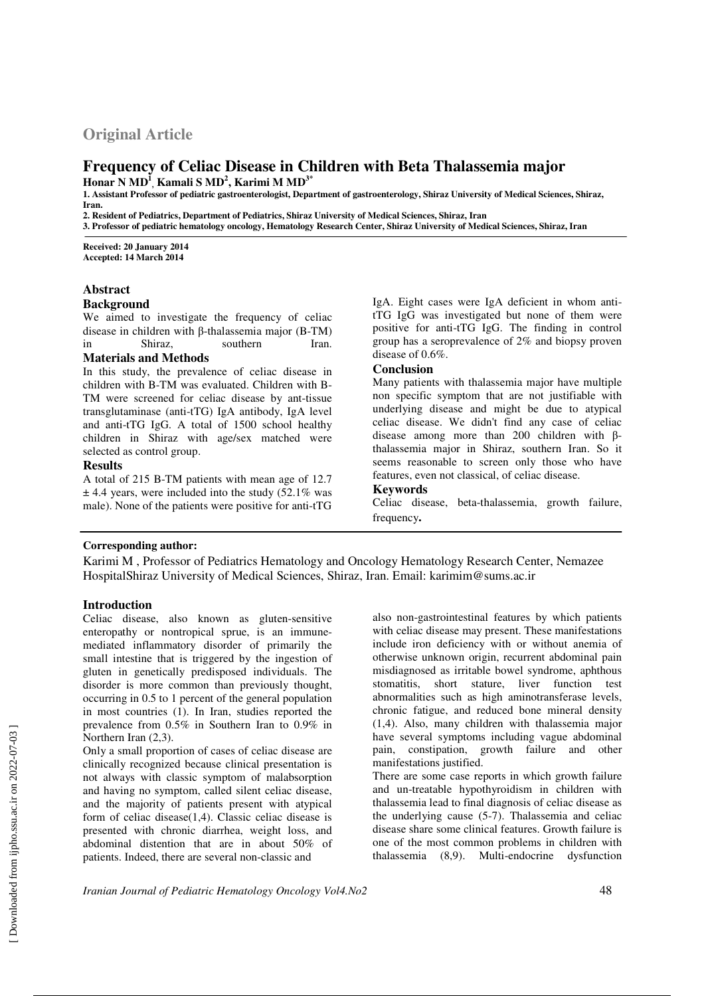# **Original Article**

## **Frequency of Celiac Disease in Children with Beta Thalassemia major Honar N MD<sup>1</sup> , Kamali S MD<sup>2</sup> , Karimi M MD3\***

**1. Assistant Professor of pediatric gastroenterologist, Department of gastroenterology, Shiraz University of Medical Sciences, Shiraz, Iran.** 

**2. Resident of Pediatrics, Department of Pediatrics, Shiraz University of Medical Sciences, Shiraz, Iran 3. Professor of pediatric hematology oncology, Hematology Research Center, Shiraz University of Medical Sciences, Shiraz, Iran** 

**Received: 20 January 2014 Accepted: 14 March 2014**

## **Abstract**

### **Background**

We aimed to investigate the frequency of celiac disease in children with β-thalassemia major (B-TM) in Shiraz, southern Iran.

#### **Materials and Methods**

In this study, the prevalence of celiac disease in children with B-TM was evaluated. Children with B-TM were screened for celiac disease by ant-tissue transglutaminase (anti-tTG) IgA antibody, IgA level and anti-tTG IgG. A total of 1500 school healthy children in Shiraz with age/sex matched were selected as control group.

#### **Results**

A total of 215 B-TM patients with mean age of 12.7  $\pm$  4.4 years, were included into the study (52.1% was male). None of the patients were positive for anti-tTG

IgA. Eight cases were IgA deficient in whom antitTG IgG was investigated but none of them were positive for anti-tTG IgG. The finding in control group has a seroprevalence of 2% and biopsy proven disease of 0.6%.

### **Conclusion**

Many patients with thalassemia major have multiple non specific symptom that are not justifiable with underlying disease and might be due to atypical celiac disease. We didn't find any case of celiac disease among more than 200 children with βthalassemia major in Shiraz, southern Iran. So it seems reasonable to screen only those who have features, even not classical, of celiac disease.

#### **Keywords**

Celiac disease, beta-thalassemia, growth failure, frequency**.**

### **Corresponding author:**

Karimi M , Professor of Pediatrics Hematology and Oncology Hematology Research Center, Nemazee HospitalShiraz University of Medical Sciences, Shiraz, Iran. Email: karimim@sums.ac.ir

### **Introduction**

Celiac disease, also known as gluten-sensitive enteropathy or nontropical sprue, is an immunemediated inflammatory disorder of primarily the small intestine that is triggered by the ingestion of gluten in genetically predisposed individuals. The disorder is more common than previously thought, occurring in 0.5 to 1 percent of the general population in most countries (1). In Iran, studies reported the prevalence from 0.5% in Southern Iran to 0.9% in Northern Iran (2,3).

Only a small proportion of cases of celiac disease are clinically recognized because clinical presentation is not always with classic symptom of malabsorption and having no symptom, called silent celiac disease, and the majority of patients present with atypical form of celiac disease(1,4). Classic celiac disease is presented with chronic diarrhea, weight loss, and abdominal distention that are in about 50% of patients. Indeed, there are several non-classic and

also non-gastrointestinal features by which patients with celiac disease may present. These manifestations include iron deficiency with or without anemia of otherwise unknown origin, recurrent abdominal pain misdiagnosed as irritable bowel syndrome, aphthous stomatitis, short stature, liver function test abnormalities such as high aminotransferase levels, chronic fatigue, and reduced bone mineral density (1,4). Also, many children with thalassemia major have several symptoms including vague abdominal pain, constipation, growth failure and other manifestations justified.

There are some case reports in which growth failure and un-treatable hypothyroidism in children with thalassemia lead to final diagnosis of celiac disease as the underlying cause (5-7). Thalassemia and celiac disease share some clinical features. Growth failure is one of the most common problems in children with thalassemia (8,9). Multi-endocrine dysfunction

*Iranian Journal of Pediatric Hematology Oncology Vol4.No2* 48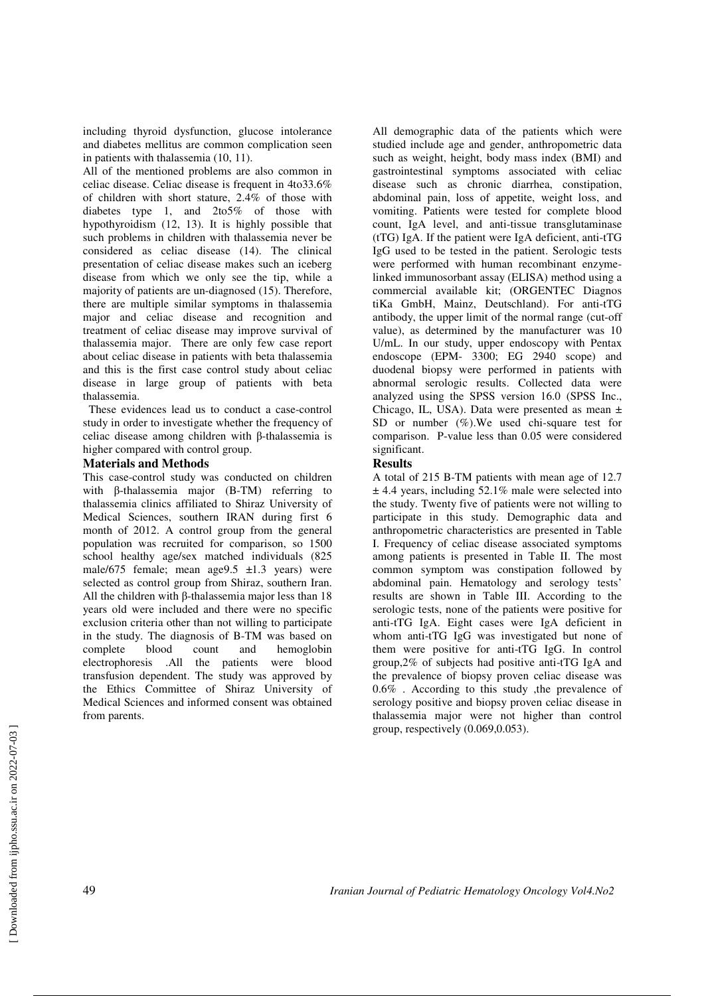including thyroid dysfunction, glucose intolerance and diabetes mellitus are common complication seen in patients with thalassemia (10, 11).

All of the mentioned problems are also common in celiac disease. Celiac disease is frequent in 4to33.6% of children with short stature, 2.4% of those with diabetes type 1, and 2to5% of those with hypothyroidism (12, 13). It is highly possible that such problems in children with thalassemia never be considered as celiac disease (14). The clinical presentation of celiac disease makes such an iceberg disease from which we only see the tip, while a majority of patients are un-diagnosed (15). Therefore, there are multiple similar symptoms in thalassemia major and celiac disease and recognition and treatment of celiac disease may improve survival of thalassemia major. There are only few case report about celiac disease in patients with beta thalassemia and this is the first case control study about celiac disease in large group of patients with beta thalassemia.

 These evidences lead us to conduct a case-control study in order to investigate whether the frequency of celiac disease among children with β-thalassemia is higher compared with control group.

#### **Materials and Methods**

This case-control study was conducted on children with β-thalassemia major (B-TM) referring to thalassemia clinics affiliated to Shiraz University of Medical Sciences, southern IRAN during first 6 month of 2012. A control group from the general population was recruited for comparison, so 1500 school healthy age/sex matched individuals (825 male/675 female; mean age $9.5 \pm 1.3$  years) were selected as control group from Shiraz, southern Iran. All the children with β-thalassemia major less than 18 years old were included and there were no specific exclusion criteria other than not willing to participate in the study. The diagnosis of B-TM was based on complete blood count and hemoglobin electrophoresis .All the patients were blood transfusion dependent. The study was approved by the Ethics Committee of Shiraz University of Medical Sciences and informed consent was obtained from parents.

All demographic data of the patients which were studied include age and gender, anthropometric data such as weight, height, body mass index (BMI) and gastrointestinal symptoms associated with celiac disease such as chronic diarrhea, constipation, abdominal pain, loss of appetite, weight loss, and vomiting. Patients were tested for complete blood count, IgA level, and anti-tissue transglutaminase (tTG) IgA. If the patient were IgA deficient, anti-tTG IgG used to be tested in the patient. Serologic tests were performed with human recombinant enzymelinked immunosorbant assay (ELISA) method using a commercial available kit; (ORGENTEC Diagnos tiKa GmbH, Mainz, Deutschland). For anti-tTG antibody, the upper limit of the normal range (cut-off value), as determined by the manufacturer was 10 U/mL. In our study, upper endoscopy with Pentax endoscope (EPM- 3300; EG 2940 scope) and duodenal biopsy were performed in patients with abnormal serologic results. Collected data were analyzed using the SPSS version 16.0 (SPSS Inc., Chicago, IL, USA). Data were presented as mean ± SD or number (%). We used chi-square test for comparison. P-value less than 0.05 were considered significant.

### **Results**

A total of 215 B-TM patients with mean age of 12.7  $\pm$  4.4 years, including 52.1% male were selected into the study. Twenty five of patients were not willing to participate in this study. Demographic data and anthropometric characteristics are presented in Table I. Frequency of celiac disease associated symptoms among patients is presented in Table II. The most common symptom was constipation followed by abdominal pain. Hematology and serology tests' results are shown in Table III. According to the serologic tests, none of the patients were positive for anti-tTG IgA. Eight cases were IgA deficient in whom anti-tTG IgG was investigated but none of them were positive for anti-tTG IgG. In control group,2% of subjects had positive anti-tTG IgA and the prevalence of biopsy proven celiac disease was 0.6% . According to this study ,the prevalence of serology positive and biopsy proven celiac disease in thalassemia major were not higher than control group, respectively (0.069,0.053).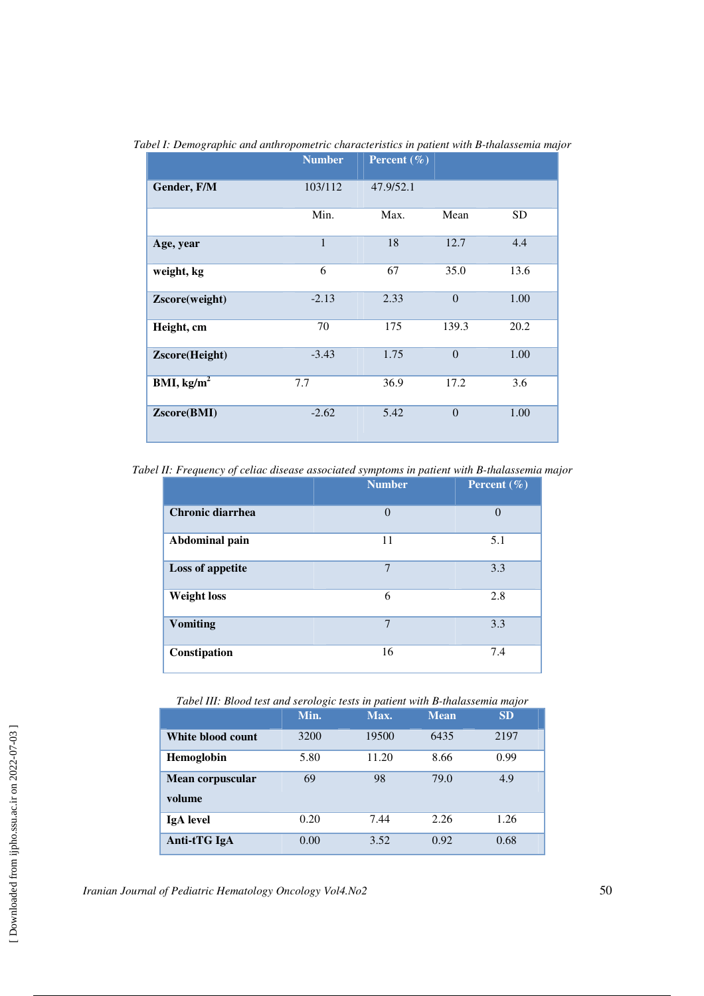|                | <b>Number</b> | Percent $(\% )$ |                |           |
|----------------|---------------|-----------------|----------------|-----------|
| Gender, F/M    | 103/112       | 47.9/52.1       |                |           |
|                | Min.          | Max.            | Mean           | <b>SD</b> |
| Age, year      | $\mathbf{1}$  | 18              | 12.7           | 4.4       |
| weight, kg     | 6             | 67              | 35.0           | 13.6      |
| Zscore(weight) | $-2.13$       | 2.33            | $\overline{0}$ | 1.00      |
| Height, cm     | 70            | 175             | 139.3          | 20.2      |
| Zscore(Height) | $-3.43$       | 1.75            | $\theta$       | 1.00      |
| BMI, $kg/m2$   | 7.7           | 36.9            | 17.2           | 3.6       |
| Zscore(BMI)    | $-2.62$       | 5.42            | $\overline{0}$ | 1.00      |

*Tabel I: Demographic and anthropometric characteristics in patient with B-thalassemia major* 

*Tabel II: Frequency of celiac disease associated symptoms in patient with B-thalassemia major* 

|                    | <b>Number</b>  | Percent $(\% )$ |
|--------------------|----------------|-----------------|
| Chronic diarrhea   | $\theta$       | $\Omega$        |
| Abdominal pain     | 11             | 5.1             |
| Loss of appetite   | 7              | 3.3             |
| <b>Weight loss</b> | 6              | 2.8             |
| <b>Vomiting</b>    | $\overline{7}$ | 3.3             |
| Constipation       | 16             | 7.4             |

*Tabel III: Blood test and serologic tests in patient with B-thalassemia major* 

|                            | Min. | Max.  | <b>Mean</b> | <b>SD</b> |
|----------------------------|------|-------|-------------|-----------|
| White blood count          | 3200 | 19500 | 6435        | 2197      |
| Hemoglobin                 | 5.80 | 11.20 | 8.66        | 0.99      |
| Mean corpuscular<br>volume | 69   | 98    | 79.0        | 4.9       |
| <b>IgA</b> level           | 0.20 | 7.44  | 2.26        | 1.26      |
| Anti-tTG IgA               | 0.00 | 3.52  | 0.92        | 0.68      |

*Iranian Journal of Pediatric Hematology Oncology Vol4.No2* 50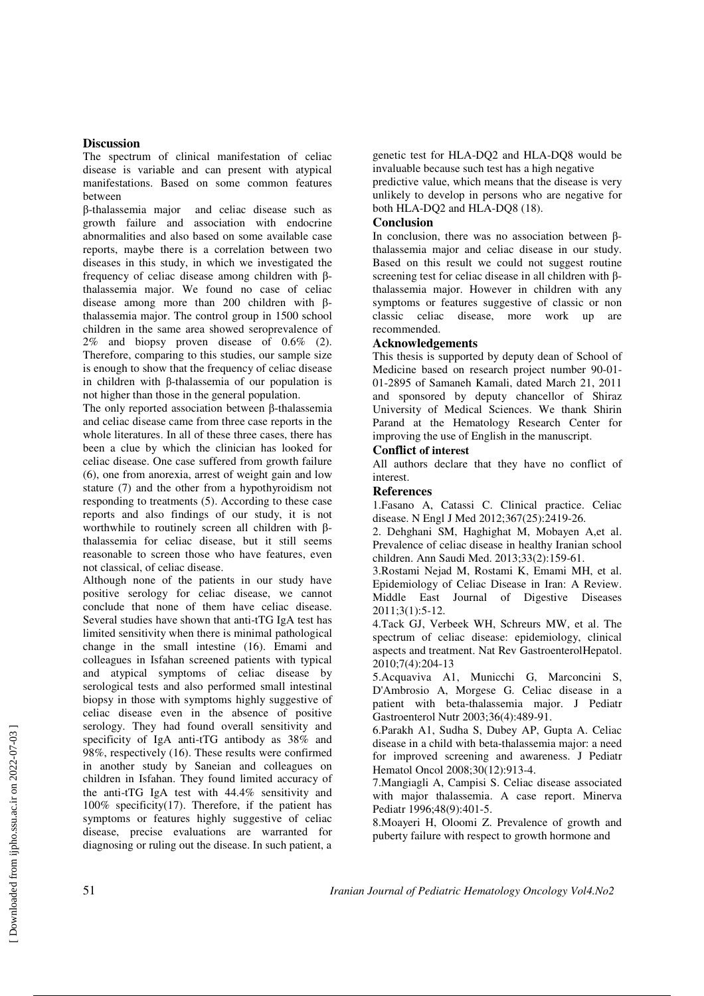### **Discussion**

The spectrum of clinical manifestation of celiac disease is variable and can present with atypical manifestations. Based on some common features between

β-thalassemia major and celiac disease such as growth failure and association with endocrine abnormalities and also based on some available case reports, maybe there is a correlation between two diseases in this study, in which we investigated the frequency of celiac disease among children with βthalassemia major. We found no case of celiac disease among more than 200 children with βthalassemia major. The control group in 1500 school children in the same area showed seroprevalence of 2% and biopsy proven disease of 0.6% (2). Therefore, comparing to this studies, our sample size is enough to show that the frequency of celiac disease in children with β-thalassemia of our population is not higher than those in the general population.

The only reported association between β-thalassemia and celiac disease came from three case reports in the whole literatures. In all of these three cases, there has been a clue by which the clinician has looked for celiac disease. One case suffered from growth failure (6), one from anorexia, arrest of weight gain and low stature (7) and the other from a hypothyroidism not responding to treatments (5). According to these case reports and also findings of our study, it is not worthwhile to routinely screen all children with βthalassemia for celiac disease, but it still seems reasonable to screen those who have features, even not classical, of celiac disease.

Although none of the patients in our study have positive serology for celiac disease, we cannot conclude that none of them have celiac disease. Several studies have shown that anti-tTG IgA test has limited sensitivity when there is minimal pathological change in the small intestine (16). Emami and colleagues in Isfahan screened patients with typical and atypical symptoms of celiac disease by serological tests and also performed small intestinal biopsy in those with symptoms highly suggestive of celiac disease even in the absence of positive serology. They had found overall sensitivity and specificity of IgA anti-tTG antibody as 38% and 98%, respectively (16). These results were confirmed in another study by Saneian and colleagues on children in Isfahan. They found limited accuracy of the anti-tTG IgA test with 44.4% sensitivity and 100% specificity(17). Therefore, if the patient has symptoms or features highly suggestive of celiac disease, precise evaluations are warranted for diagnosing or ruling out the disease. In such patient, a

genetic test for HLA-DQ2 and HLA-DQ8 would be invaluable because such test has a high negative

predictive value, which means that the disease is very unlikely to develop in persons who are negative for both HLA-DQ2 and HLA-DQ8 (18).

#### **Conclusion**

In conclusion, there was no association between βthalassemia major and celiac disease in our study. Based on this result we could not suggest routine screening test for celiac disease in all children with βthalassemia major. However in children with any symptoms or features suggestive of classic or non classic celiac disease, more work up are recommended.

#### **Acknowledgements**

This thesis is supported by deputy dean of School of Medicine based on research project number 90-01-01-2895 of Samaneh Kamali, dated March 21, 2011 and sponsored by deputy chancellor of Shiraz University of Medical Sciences. We thank Shirin Parand at the Hematology Research Center for improving the use of English in the manuscript.

### **Conflict of interest**

All authors declare that they have no conflict of interest.

#### **References**

1.Fasano A, Catassi C. Clinical practice. Celiac disease. N Engl J Med 2012;367(25):2419-26.

2. Dehghani SM, Haghighat M, Mobayen A,et al. Prevalence of celiac disease in healthy Iranian school children. Ann Saudi Med. 2013;33(2):159-61.

3.Rostami Nejad M, Rostami K, Emami MH, et al. Epidemiology of Celiac Disease in Iran: A Review. Middle East Journal of Digestive Diseases 2011;3(1):5-12.

4.Tack GJ, Verbeek WH, Schreurs MW, et al. The spectrum of celiac disease: epidemiology, clinical aspects and treatment. Nat Rev GastroenterolHepatol. 2010;7(4):204-13

5.Acquaviva A1, Municchi G, Marconcini S, D'Ambrosio A, Morgese G. Celiac disease in a patient with beta-thalassemia major. J Pediatr Gastroenterol Nutr 2003;36(4):489-91.

6.Parakh A1, Sudha S, Dubey AP, Gupta A. Celiac disease in a child with beta-thalassemia major: a need for improved screening and awareness. J Pediatr Hematol Oncol 2008;30(12):913-4.

7.Mangiagli A, Campisi S. Celiac disease associated with major thalassemia. A case report. Minerva Pediatr 1996;48(9):401-5.

8.Moayeri H, Oloomi Z. Prevalence of growth and puberty failure with respect to growth hormone and

 [\[ Downloaded from ijpho.ssu.ac.ir on 2022](http://ijpho.ssu.ac.ir/article-1-160-en.html)-07-03 ]